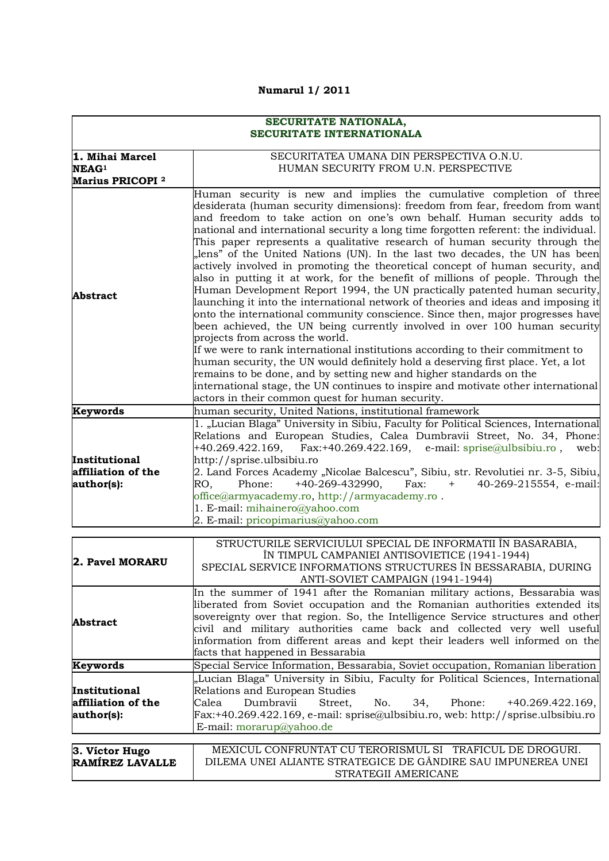## **Numarul 1/ 2011**

## **SECURITATE NATIONALA, SECURITATE INTERNATIONALA**

|                                                   | SECURITATEA UMANA DIN PERSPECTIVA O.N.U.                                                                                                                                                                                                                                                                                                                                                                                                                                                                                                                                                                                                                                                                                                                                                                                                                                                                                                                                                                                                                                                                                                                                                                                                                                                                                                                                                                        |  |  |  |  |
|---------------------------------------------------|-----------------------------------------------------------------------------------------------------------------------------------------------------------------------------------------------------------------------------------------------------------------------------------------------------------------------------------------------------------------------------------------------------------------------------------------------------------------------------------------------------------------------------------------------------------------------------------------------------------------------------------------------------------------------------------------------------------------------------------------------------------------------------------------------------------------------------------------------------------------------------------------------------------------------------------------------------------------------------------------------------------------------------------------------------------------------------------------------------------------------------------------------------------------------------------------------------------------------------------------------------------------------------------------------------------------------------------------------------------------------------------------------------------------|--|--|--|--|
| 1. Mihai Marcel                                   | HUMAN SECURITY FROM U.N. PERSPECTIVE                                                                                                                                                                                                                                                                                                                                                                                                                                                                                                                                                                                                                                                                                                                                                                                                                                                                                                                                                                                                                                                                                                                                                                                                                                                                                                                                                                            |  |  |  |  |
| NEAG <sup>1</sup><br>Marius PRICOPI <sup>2</sup>  |                                                                                                                                                                                                                                                                                                                                                                                                                                                                                                                                                                                                                                                                                                                                                                                                                                                                                                                                                                                                                                                                                                                                                                                                                                                                                                                                                                                                                 |  |  |  |  |
|                                                   |                                                                                                                                                                                                                                                                                                                                                                                                                                                                                                                                                                                                                                                                                                                                                                                                                                                                                                                                                                                                                                                                                                                                                                                                                                                                                                                                                                                                                 |  |  |  |  |
| <b>Abstract</b>                                   | Human security is new and implies the cumulative completion of three<br>desiderata (human security dimensions): freedom from fear, freedom from want<br>and freedom to take action on one's own behalf. Human security adds to<br>national and international security a long time forgotten referent: the individual.<br>This paper represents a qualitative research of human security through the<br>"lens" of the United Nations (UN). In the last two decades, the UN has been<br>actively involved in promoting the theoretical concept of human security, and<br>also in putting it at work, for the benefit of millions of people. Through the<br>Human Development Report 1994, the UN practically patented human security,<br>launching it into the international network of theories and ideas and imposing it<br>onto the international community conscience. Since then, major progresses have<br>been achieved, the UN being currently involved in over 100 human security<br>projects from across the world.<br>If we were to rank international institutions according to their commitment to<br>human security, the UN would definitely hold a deserving first place. Yet, a lot<br>remains to be done, and by setting new and higher standards on the<br>international stage, the UN continues to inspire and motivate other international<br>actors in their common quest for human security. |  |  |  |  |
| Keywords                                          | human security, United Nations, institutional framework                                                                                                                                                                                                                                                                                                                                                                                                                                                                                                                                                                                                                                                                                                                                                                                                                                                                                                                                                                                                                                                                                                                                                                                                                                                                                                                                                         |  |  |  |  |
| Institutional<br>affiliation of the<br>author(s): | 1. "Lucian Blaga" University in Sibiu, Faculty for Political Sciences, International<br>Relations and European Studies, Calea Dumbravii Street, No. 34, Phone:<br>+40.269.422.169, Fax:+40.269.422.169, e-mail: sprise@ulbsibiu.ro,<br>web:<br>http://sprise.ulbsibiu.ro<br>2. Land Forces Academy "Nicolae Balcescu", Sibiu, str. Revolutiei nr. 3-5, Sibiu,<br>Phone:<br>$+40-269-432990,$<br>Fax:<br>$+$<br>40-269-215554, e-mail:<br>RO.<br>office@armyacademy.ro, http://armyacademy.ro.<br>1. E-mail: mihainero@yahoo.com                                                                                                                                                                                                                                                                                                                                                                                                                                                                                                                                                                                                                                                                                                                                                                                                                                                                                 |  |  |  |  |
|                                                   | 2. E-mail: pricopimarius@yahoo.com                                                                                                                                                                                                                                                                                                                                                                                                                                                                                                                                                                                                                                                                                                                                                                                                                                                                                                                                                                                                                                                                                                                                                                                                                                                                                                                                                                              |  |  |  |  |
|                                                   |                                                                                                                                                                                                                                                                                                                                                                                                                                                                                                                                                                                                                                                                                                                                                                                                                                                                                                                                                                                                                                                                                                                                                                                                                                                                                                                                                                                                                 |  |  |  |  |

| 2. Pavel MORARU    | STRUCTURILE SERVICIULUI SPECIAL DE INFORMATII ÎN BASARABIA,                       |  |  |  |
|--------------------|-----------------------------------------------------------------------------------|--|--|--|
|                    | ÎN TIMPUL CAMPANIEI ANTISOVIETICE (1941-1944)                                     |  |  |  |
|                    | SPECIAL SERVICE INFORMATIONS STRUCTURES ÎN BESSARABIA, DURING                     |  |  |  |
|                    | ANTI-SOVIET CAMPAIGN (1941-1944)                                                  |  |  |  |
|                    | In the summer of 1941 after the Romanian military actions, Bessarabia was         |  |  |  |
|                    | liberated from Soviet occupation and the Romanian authorities extended its        |  |  |  |
| <b>Abstract</b>    | sovereignty over that region. So, the Intelligence Service structures and other   |  |  |  |
|                    | civil and military authorities came back and collected very well useful           |  |  |  |
|                    | information from different areas and kept their leaders well informed on the      |  |  |  |
|                    | facts that happened in Bessarabia                                                 |  |  |  |
| Keywords           | Special Service Information, Bessarabia, Soviet occupation, Romanian liberation   |  |  |  |
|                    | "Lucian Blaga" University in Sibiu, Faculty for Political Sciences, International |  |  |  |
| Institutional      | Relations and European Studies                                                    |  |  |  |
| affiliation of the | Dumbravii<br>Street, No. 34, Phone: +40.269.422.169,<br>Calea                     |  |  |  |
| author(s):         | Fax:+40.269.422.169, e-mail: sprise@ulbsibiu.ro, web: http://sprise.ulbsibiu.ro   |  |  |  |
|                    | E-mail: morarup@yahoo.de                                                          |  |  |  |
|                    |                                                                                   |  |  |  |
| 3. Víctor Hugo     | MEXICUL CONFRUNTAT CU TERORISMUL SI TRAFICUL DE DROGURI.                          |  |  |  |
| RAMÍREZ LAVALLE    | DILEMA UNEI ALIANTE STRATEGICE DE GÂNDIRE SAU IMPUNEREA UNEI                      |  |  |  |
|                    | STRATEGII AMERICANE                                                               |  |  |  |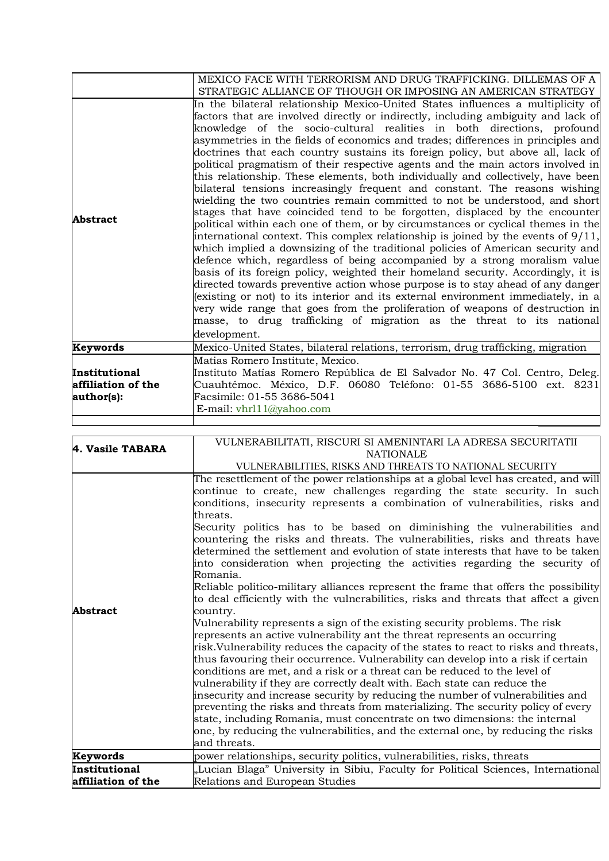|                                                   | MEXICO FACE WITH TERRORISM AND DRUG TRAFFICKING. DILLEMAS OF A<br>STRATEGIC ALLIANCE OF THOUGH OR IMPOSING AN AMERICAN STRATEGY                                                                                                                                                                                                                                                                                                                                                                                                                                                                                                                                                                                                                                                                                                                                                                                                                                                                                                                                                                                                                                                                                                                                                                                                                                                                                                                                                                                                                                                                                            |
|---------------------------------------------------|----------------------------------------------------------------------------------------------------------------------------------------------------------------------------------------------------------------------------------------------------------------------------------------------------------------------------------------------------------------------------------------------------------------------------------------------------------------------------------------------------------------------------------------------------------------------------------------------------------------------------------------------------------------------------------------------------------------------------------------------------------------------------------------------------------------------------------------------------------------------------------------------------------------------------------------------------------------------------------------------------------------------------------------------------------------------------------------------------------------------------------------------------------------------------------------------------------------------------------------------------------------------------------------------------------------------------------------------------------------------------------------------------------------------------------------------------------------------------------------------------------------------------------------------------------------------------------------------------------------------------|
| Abstract                                          | In the bilateral relationship Mexico-United States influences a multiplicity of<br>factors that are involved directly or indirectly, including ambiguity and lack of<br>knowledge of the socio-cultural realities in both directions, profound<br>asymmetries in the fields of economics and trades; differences in principles and<br>doctrines that each country sustains its foreign policy, but above all, lack of<br>political pragmatism of their respective agents and the main actors involved in<br>this relationship. These elements, both individually and collectively, have been<br>bilateral tensions increasingly frequent and constant. The reasons wishing<br>wielding the two countries remain committed to not be understood, and short<br>stages that have coincided tend to be forgotten, displaced by the encounter<br>political within each one of them, or by circumstances or cyclical themes in the<br>international context. This complex relationship is joined by the events of $9/11$ ,<br>which implied a downsizing of the traditional policies of American security and<br>defence which, regardless of being accompanied by a strong moralism value<br>basis of its foreign policy, weighted their homeland security. Accordingly, it is<br>directed towards preventive action whose purpose is to stay ahead of any danger<br>(existing or not) to its interior and its external environment immediately, in a<br>very wide range that goes from the proliferation of weapons of destruction in<br>masse, to drug trafficking of migration as the threat to its national<br>development. |
| Keywords                                          | Mexico-United States, bilateral relations, terrorism, drug trafficking, migration                                                                                                                                                                                                                                                                                                                                                                                                                                                                                                                                                                                                                                                                                                                                                                                                                                                                                                                                                                                                                                                                                                                                                                                                                                                                                                                                                                                                                                                                                                                                          |
| Institutional<br>affiliation of the<br>author(s): | Matias Romero Institute, Mexico.<br>Instituto Matías Romero República de El Salvador No. 47 Col. Centro, Deleg.<br>Cuauhtémoc. México, D.F. 06080 Teléfono: 01-55 3686-5100 ext. 8231<br>Facsimile: 01-55 3686-5041<br>E-mail: $vhr111@yahoo.com$                                                                                                                                                                                                                                                                                                                                                                                                                                                                                                                                                                                                                                                                                                                                                                                                                                                                                                                                                                                                                                                                                                                                                                                                                                                                                                                                                                          |
|                                                   |                                                                                                                                                                                                                                                                                                                                                                                                                                                                                                                                                                                                                                                                                                                                                                                                                                                                                                                                                                                                                                                                                                                                                                                                                                                                                                                                                                                                                                                                                                                                                                                                                            |

| 4. Vasile TABARA   | VULNERABILITATI, RISCURI SI AMENINTARI LA ADRESA SECURITATII                                      |  |  |  |  |
|--------------------|---------------------------------------------------------------------------------------------------|--|--|--|--|
|                    | <b>NATIONALE</b>                                                                                  |  |  |  |  |
|                    | VULNERABILITIES, RISKS AND THREATS TO NATIONAL SECURITY                                           |  |  |  |  |
|                    | The resettlement of the power relationships at a global level has created, and will               |  |  |  |  |
|                    | continue to create, new challenges regarding the state security. In such                          |  |  |  |  |
|                    | conditions, insecurity represents a combination of vulnerabilities, risks and                     |  |  |  |  |
|                    | threats.                                                                                          |  |  |  |  |
|                    | Security politics has to be based on diminishing the vulnerabilities and                          |  |  |  |  |
|                    | countering the risks and threats. The vulnerabilities, risks and threats have                     |  |  |  |  |
|                    | determined the settlement and evolution of state interests that have to be taken                  |  |  |  |  |
|                    | into consideration when projecting the activities regarding the security of                       |  |  |  |  |
|                    | Romania.                                                                                          |  |  |  |  |
|                    | Reliable politico-military alliances represent the frame that offers the possibility              |  |  |  |  |
|                    | to deal efficiently with the vulnerabilities, risks and threats that affect a given               |  |  |  |  |
| <b>Abstract</b>    | country.                                                                                          |  |  |  |  |
|                    | Vulnerability represents a sign of the existing security problems. The risk                       |  |  |  |  |
|                    | represents an active vulnerability ant the threat represents an occurring                         |  |  |  |  |
|                    | risk. Vulnerability reduces the capacity of the states to react to risks and threats,             |  |  |  |  |
|                    | thus favouring their occurrence. Vulnerability can develop into a risk if certain                 |  |  |  |  |
|                    | conditions are met, and a risk or a threat can be reduced to the level of                         |  |  |  |  |
|                    | vulnerability if they are correctly dealt with. Each state can reduce the                         |  |  |  |  |
|                    | insecurity and increase security by reducing the number of vulnerabilities and                    |  |  |  |  |
|                    | preventing the risks and threats from materializing. The security policy of every                 |  |  |  |  |
|                    | state, including Romania, must concentrate on two dimensions: the internal                        |  |  |  |  |
|                    | one, by reducing the vulnerabilities, and the external one, by reducing the risks<br>and threats. |  |  |  |  |
|                    |                                                                                                   |  |  |  |  |
| Keywords           | power relationships, security politics, vulnerabilities, risks, threats                           |  |  |  |  |
| Institutional      | "Lucian Blaga" University in Sibiu, Faculty for Political Sciences, International                 |  |  |  |  |
| affiliation of the | Relations and European Studies                                                                    |  |  |  |  |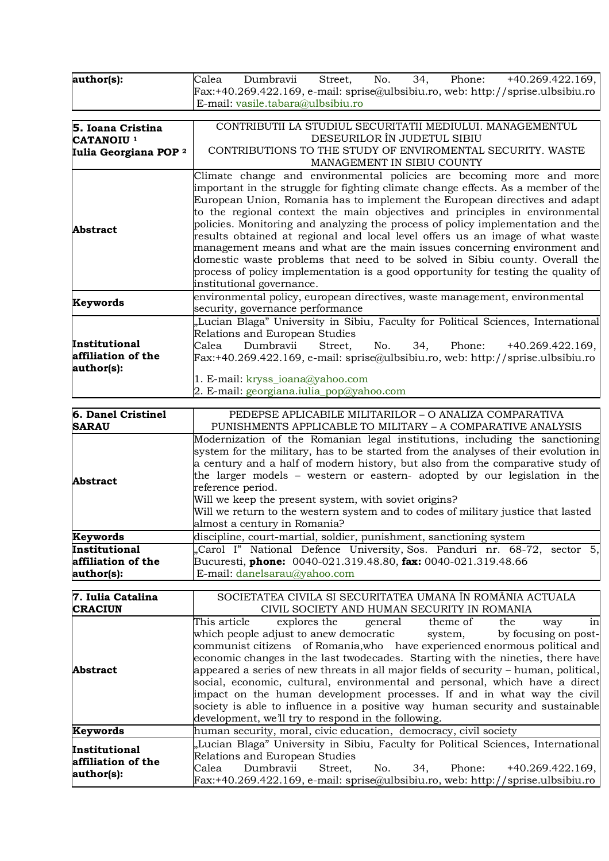| author(s):                                        | $\overline{34}$ ,<br>No.<br>Phone: $+40.269.422.169$ ,<br>Dumbravii<br>Street,<br>Calea                                                                                                                                                                                                                                                                                                                                                                                                                                                                                                                                                                                                                                                                                 |  |  |  |  |
|---------------------------------------------------|-------------------------------------------------------------------------------------------------------------------------------------------------------------------------------------------------------------------------------------------------------------------------------------------------------------------------------------------------------------------------------------------------------------------------------------------------------------------------------------------------------------------------------------------------------------------------------------------------------------------------------------------------------------------------------------------------------------------------------------------------------------------------|--|--|--|--|
|                                                   | Fax:+40.269.422.169, e-mail: sprise@ulbsibiu.ro, web: http://sprise.ulbsibiu.ro                                                                                                                                                                                                                                                                                                                                                                                                                                                                                                                                                                                                                                                                                         |  |  |  |  |
|                                                   | E-mail: vasile.tabara@ulbsibiu.ro                                                                                                                                                                                                                                                                                                                                                                                                                                                                                                                                                                                                                                                                                                                                       |  |  |  |  |
|                                                   |                                                                                                                                                                                                                                                                                                                                                                                                                                                                                                                                                                                                                                                                                                                                                                         |  |  |  |  |
| 5. Ioana Cristina                                 | CONTRIBUTII LA STUDIUL SECURITATII MEDIULUI. MANAGEMENTUL                                                                                                                                                                                                                                                                                                                                                                                                                                                                                                                                                                                                                                                                                                               |  |  |  |  |
| CATANOIU <sup>1</sup>                             | DESEURILOR ÎN JUDETUL SIBIU                                                                                                                                                                                                                                                                                                                                                                                                                                                                                                                                                                                                                                                                                                                                             |  |  |  |  |
| Iulia Georgiana POP <sup>2</sup>                  | CONTRIBUTIONS TO THE STUDY OF ENVIROMENTAL SECURITY. WASTE<br>MANAGEMENT IN SIBIU COUNTY                                                                                                                                                                                                                                                                                                                                                                                                                                                                                                                                                                                                                                                                                |  |  |  |  |
| <b>Abstract</b>                                   | Climate change and environmental policies are becoming more and more<br>important in the struggle for fighting climate change effects. As a member of the<br>European Union, Romania has to implement the European directives and adapt<br>to the regional context the main objectives and principles in environmental<br>policies. Monitoring and analyzing the process of policy implementation and the<br>results obtained at regional and local level offers us an image of what waste<br>management means and what are the main issues concerning environment and<br>domestic waste problems that need to be solved in Sibiu county. Overall the<br>process of policy implementation is a good opportunity for testing the quality of<br>institutional governance. |  |  |  |  |
| Keywords                                          | environmental policy, european directives, waste management, environmental<br>security, governance performance                                                                                                                                                                                                                                                                                                                                                                                                                                                                                                                                                                                                                                                          |  |  |  |  |
| Institutional<br>affiliation of the<br>author(s): | "Lucian Blaga" University in Sibiu, Faculty for Political Sciences, International<br>Relations and European Studies<br>Calea<br>Dumbravii<br>No. 34, Phone: +40.269.422.169,<br>Street.<br>$Fx: +40.269.422.169$ , e-mail: sprise@ulbsibiu.ro, web: http://sprise.ulbsibiu.ro<br>1. E-mail: kryss_ioana@yahoo.com<br>2. E-mail: georgiana.iulia_pop@yahoo.com                                                                                                                                                                                                                                                                                                                                                                                                           |  |  |  |  |
| 6. Danel Cristinel                                | PEDEPSE APLICABILE MILITARILOR - O ANALIZA COMPARATIVA                                                                                                                                                                                                                                                                                                                                                                                                                                                                                                                                                                                                                                                                                                                  |  |  |  |  |

| o. Danei Uristinei | PEDEFSE APLICADILE MILITARILOR – O ANALIZA COMPARATIVA                                                                                                                                                                                                                                                                                                                                                                                                                                                                              |  |  |
|--------------------|-------------------------------------------------------------------------------------------------------------------------------------------------------------------------------------------------------------------------------------------------------------------------------------------------------------------------------------------------------------------------------------------------------------------------------------------------------------------------------------------------------------------------------------|--|--|
| <b>SARAU</b>       | PUNISHMENTS APPLICABLE TO MILITARY – A COMPARATIVE ANALYSIS                                                                                                                                                                                                                                                                                                                                                                                                                                                                         |  |  |
| <b>Abstract</b>    | Modernization of the Romanian legal institutions, including the sanctioning<br>system for the military, has to be started from the analyses of their evolution in<br>a century and a half of modern history, but also from the comparative study of<br>the larger models – western or eastern- adopted by our legislation in the<br>reference period.<br>Will we keep the present system, with soviet origins?<br>Will we return to the western system and to codes of military justice that lasted<br>almost a century in Romania? |  |  |
| Keywords           | discipline, court-martial, soldier, punishment, sanctioning system                                                                                                                                                                                                                                                                                                                                                                                                                                                                  |  |  |
| Institutional      | "Carol I" National Defence University, Sos. Panduri nr. 68-72, sector 5,                                                                                                                                                                                                                                                                                                                                                                                                                                                            |  |  |
| affiliation of the | Bucuresti, phone: 0040-021.319.48.80, fax: 0040-021.319.48.66                                                                                                                                                                                                                                                                                                                                                                                                                                                                       |  |  |
| author(s):         | E-mail: danelsarau@yahoo.com                                                                                                                                                                                                                                                                                                                                                                                                                                                                                                        |  |  |

| 7. Iulia Catalina                                 | SOCIETATEA CIVILA SI SECURITATEA UMANA ÎN ROMÂNIA ACTUALA |                      |     |                                                                                           |     |                    |    |
|---------------------------------------------------|-----------------------------------------------------------|----------------------|-----|-------------------------------------------------------------------------------------------|-----|--------------------|----|
| <b>CRACIUN</b>                                    |                                                           |                      |     | CIVIL SOCIETY AND HUMAN SECURITY IN ROMANIA                                               |     |                    |    |
|                                                   |                                                           |                      |     | This article explores the general theme of                                                | the | way                | in |
|                                                   |                                                           |                      |     | which people adjust to anew democratic system, by focusing on post-                       |     |                    |    |
|                                                   |                                                           |                      |     | communist citizens of Romania, who have experienced enormous political and                |     |                    |    |
|                                                   |                                                           |                      |     | economic changes in the last two decades. Starting with the nineties, there have          |     |                    |    |
| <b>Abstract</b>                                   |                                                           |                      |     | appeared a series of new threats in all major fields of security – human, political,      |     |                    |    |
|                                                   |                                                           |                      |     | social, economic, cultural, environmental and personal, which have a direct               |     |                    |    |
|                                                   |                                                           |                      |     | impact on the human development processes. If and in what way the civil                   |     |                    |    |
|                                                   |                                                           |                      |     | society is able to influence in a positive way human security and sustainable             |     |                    |    |
|                                                   | development, we'll try to respond in the following.       |                      |     |                                                                                           |     |                    |    |
| Keywords                                          |                                                           |                      |     | human security, moral, civic education, democracy, civil society                          |     |                    |    |
| Institutional<br>affiliation of the<br>author(s): |                                                           |                      |     | "Lucian Blaga" University in Sibiu, Faculty for Political Sciences, International         |     |                    |    |
|                                                   | Relations and European Studies                            |                      |     |                                                                                           |     |                    |    |
|                                                   | Calea                                                     | Dumbravii<br>Street, | No. | 34.<br>Phone:                                                                             |     | $+40.269.422.169,$ |    |
|                                                   |                                                           |                      |     | $\text{Fax:}+40.269.422.169$ , e-mail: sprise@ulbsibiu.ro, web: http://sprise.ulbsibiu.ro |     |                    |    |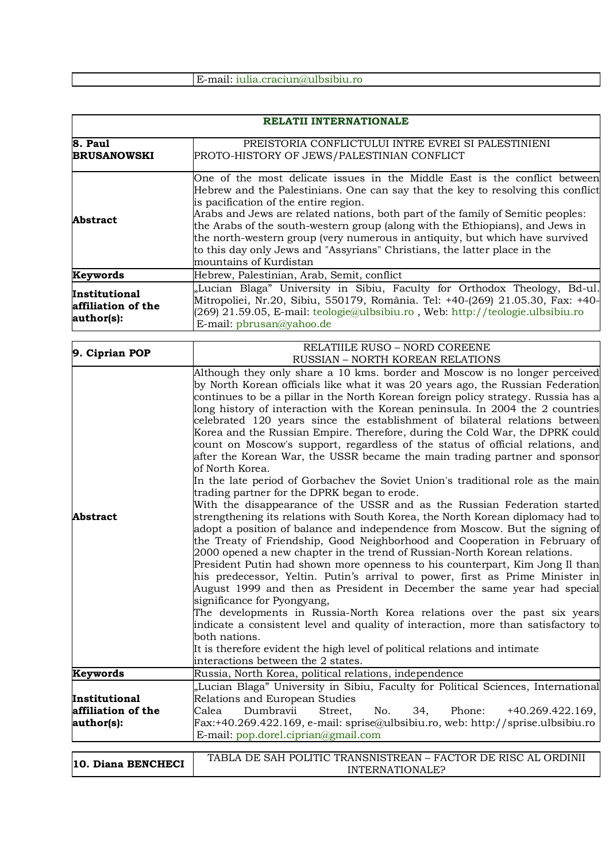E-mail: iulia.craciun@ulbsibiu.ro

| RELATII INTERNATIONALE                            |                                                                                                                                                                                                                                                                                                                                                                                                                                                                                                                                                                                                                                                                                                                                                                                                                                                                                                                                                                                                                                                                                                                                                                                                                                                                                                                                                                                                                                                                                                                                                                                                                                                                                                                                                                                  |  |  |  |
|---------------------------------------------------|----------------------------------------------------------------------------------------------------------------------------------------------------------------------------------------------------------------------------------------------------------------------------------------------------------------------------------------------------------------------------------------------------------------------------------------------------------------------------------------------------------------------------------------------------------------------------------------------------------------------------------------------------------------------------------------------------------------------------------------------------------------------------------------------------------------------------------------------------------------------------------------------------------------------------------------------------------------------------------------------------------------------------------------------------------------------------------------------------------------------------------------------------------------------------------------------------------------------------------------------------------------------------------------------------------------------------------------------------------------------------------------------------------------------------------------------------------------------------------------------------------------------------------------------------------------------------------------------------------------------------------------------------------------------------------------------------------------------------------------------------------------------------------|--|--|--|
| 8. Paul                                           | PREISTORIA CONFLICTULUI INTRE EVREI SI PALESTINIENI                                                                                                                                                                                                                                                                                                                                                                                                                                                                                                                                                                                                                                                                                                                                                                                                                                                                                                                                                                                                                                                                                                                                                                                                                                                                                                                                                                                                                                                                                                                                                                                                                                                                                                                              |  |  |  |
| <b>BRUSANOWSKI</b>                                | PROTO-HISTORY OF JEWS/PALESTINIAN CONFLICT                                                                                                                                                                                                                                                                                                                                                                                                                                                                                                                                                                                                                                                                                                                                                                                                                                                                                                                                                                                                                                                                                                                                                                                                                                                                                                                                                                                                                                                                                                                                                                                                                                                                                                                                       |  |  |  |
| <b>Abstract</b>                                   | One of the most delicate issues in the Middle East is the conflict between<br>Hebrew and the Palestinians. One can say that the key to resolving this conflict<br>is pacification of the entire region.<br>Arabs and Jews are related nations, both part of the family of Semitic peoples:<br>the Arabs of the south-western group (along with the Ethiopians), and Jews in<br>the north-western group (very numerous in antiquity, but which have survived<br>to this day only Jews and "Assyrians" Christians, the latter place in the<br>mountains of Kurdistan                                                                                                                                                                                                                                                                                                                                                                                                                                                                                                                                                                                                                                                                                                                                                                                                                                                                                                                                                                                                                                                                                                                                                                                                               |  |  |  |
| Keywords                                          | Hebrew, Palestinian, Arab, Semit, conflict                                                                                                                                                                                                                                                                                                                                                                                                                                                                                                                                                                                                                                                                                                                                                                                                                                                                                                                                                                                                                                                                                                                                                                                                                                                                                                                                                                                                                                                                                                                                                                                                                                                                                                                                       |  |  |  |
| Institutional<br>affiliation of the<br>author(s): | "Lucian Blaga" University in Sibiu, Faculty for Orthodox Theology, Bd-ul.<br>Mitropoliei, Nr.20, Sibiu, 550179, România. Tel: +40-(269) 21.05.30, Fax: +40-<br>(269) 21.59.05, E-mail: teologie@ulbsibiu.ro, Web: http://teologie.ulbsibiu.ro<br>E-mail: pbrusan@yahoo.de                                                                                                                                                                                                                                                                                                                                                                                                                                                                                                                                                                                                                                                                                                                                                                                                                                                                                                                                                                                                                                                                                                                                                                                                                                                                                                                                                                                                                                                                                                        |  |  |  |
| 9. Ciprian POP                                    | RELATIILE RUSO - NORD COREENE<br><b>RUSSIAN - NORTH KOREAN RELATIONS</b>                                                                                                                                                                                                                                                                                                                                                                                                                                                                                                                                                                                                                                                                                                                                                                                                                                                                                                                                                                                                                                                                                                                                                                                                                                                                                                                                                                                                                                                                                                                                                                                                                                                                                                         |  |  |  |
| <b>Abstract</b>                                   | Although they only share a 10 kms. border and Moscow is no longer perceived<br>by North Korean officials like what it was 20 years ago, the Russian Federation<br>continues to be a pillar in the North Korean foreign policy strategy. Russia has a<br>long history of interaction with the Korean peninsula. In 2004 the 2 countries<br>celebrated 120 years since the establishment of bilateral relations between<br>Korea and the Russian Empire. Therefore, during the Cold War, the DPRK could<br>count on Moscow's support, regardless of the status of official relations, and<br>after the Korean War, the USSR became the main trading partner and sponsor<br>of North Korea.<br>In the late period of Gorbachev the Soviet Union's traditional role as the main<br>trading partner for the DPRK began to erode.<br>With the disappearance of the USSR and as the Russian Federation started<br>strengthening its relations with South Korea, the North Korean diplomacy had to<br>adopt a position of balance and independence from Moscow. But the signing of<br>the Treaty of Friendship, Good Neighborhood and Cooperation in February of<br>2000 opened a new chapter in the trend of Russian-North Korean relations.<br>President Putin had shown more openness to his counterpart, Kim Jong Il than<br>his predecessor, Yeltin. Putin's arrival to power, first as Prime Minister in<br>August 1999 and then as President in December the same year had special<br>significance for Pyongyang,<br>The developments in Russia-North Korea relations over the past six years<br>indicate a consistent level and quality of interaction, more than satisfactory to<br>both nations.<br>It is therefore evident the high level of political relations and intimate |  |  |  |
| Keywords                                          | Russia, North Korea, political relations, independence                                                                                                                                                                                                                                                                                                                                                                                                                                                                                                                                                                                                                                                                                                                                                                                                                                                                                                                                                                                                                                                                                                                                                                                                                                                                                                                                                                                                                                                                                                                                                                                                                                                                                                                           |  |  |  |
| Institutional<br>affiliation of the<br>author(s): | "Lucian Blaga" University in Sibiu, Faculty for Political Sciences, International<br>Relations and European Studies<br>Calea<br>Dumbravii<br>Street,<br>No.<br>Phone:<br>34,<br>$+40.269.422.169,$<br>$Fx: +40.269.422.169, e-mail: sprise@ulbsibiu-ro, web: http://sprise.ulbsibiu-ro$<br>E-mail: pop.dorel.ciprian@gmail.com                                                                                                                                                                                                                                                                                                                                                                                                                                                                                                                                                                                                                                                                                                                                                                                                                                                                                                                                                                                                                                                                                                                                                                                                                                                                                                                                                                                                                                                   |  |  |  |
| 10. Diana BENCHECI                                | TABLA DE SAH POLITIC TRANSNISTREAN – FACTOR DE RISC AL ORDINII<br>INTERNATIONALE?                                                                                                                                                                                                                                                                                                                                                                                                                                                                                                                                                                                                                                                                                                                                                                                                                                                                                                                                                                                                                                                                                                                                                                                                                                                                                                                                                                                                                                                                                                                                                                                                                                                                                                |  |  |  |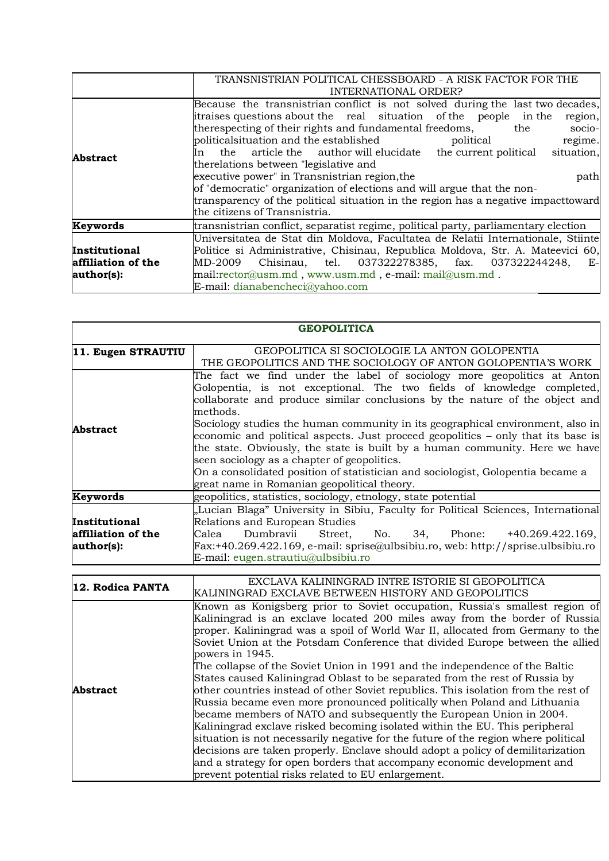|                                                   | TRANSNISTRIAN POLITICAL CHESSBOARD - A RISK FACTOR FOR THE<br>INTERNATIONAL ORDER?                                                                                                                                                                                                                                                                                                                                                                                                                                                                                                                                                                                                                 |  |  |
|---------------------------------------------------|----------------------------------------------------------------------------------------------------------------------------------------------------------------------------------------------------------------------------------------------------------------------------------------------------------------------------------------------------------------------------------------------------------------------------------------------------------------------------------------------------------------------------------------------------------------------------------------------------------------------------------------------------------------------------------------------------|--|--|
| <b>Abstract</b>                                   | Because the transnistrian conflict is not solved during the last two decades,<br>itraises questions about the real situation of the people in the<br>region,<br>therespecting of their rights and fundamental freedoms,<br>the<br>socio-<br>politicalsituation and the established<br>regime.<br>political<br>the article the author will elucidate the current political<br>situation,<br>ln –<br>therelations between "legislative and<br>executive power" in Transnistrian region, the<br>path<br>of "democratic" organization of elections and will argue that the non-<br>transparency of the political situation in the region has a negative impact toward<br>the citizens of Transnistria. |  |  |
| Keywords                                          | transnistrian conflict, separatist regime, political party, parliamentary election                                                                                                                                                                                                                                                                                                                                                                                                                                                                                                                                                                                                                 |  |  |
| Institutional<br>affiliation of the<br>author(s): | Universitatea de Stat din Moldova, Facultatea de Relatii Internationale, Stiinte<br>Politice si Administrative, Chisinau, Republica Moldova, Str. A. Mateevici 60,<br>Chisinau, tel. 037322278385, fax. 037322244248,<br>MD-2009<br>$E-$<br>mail:rector@usm.md, www.usm.md, e-mail: mail@usm.md.<br>E-mail: dianabencheci@yahoo.com                                                                                                                                                                                                                                                                                                                                                                |  |  |

|                                                   | <b>GEOPOLITICA</b>                                                                                                                                                                                                                                                                                                                                                                                                                                                                                                                                                                                                                                                                 |  |  |  |  |
|---------------------------------------------------|------------------------------------------------------------------------------------------------------------------------------------------------------------------------------------------------------------------------------------------------------------------------------------------------------------------------------------------------------------------------------------------------------------------------------------------------------------------------------------------------------------------------------------------------------------------------------------------------------------------------------------------------------------------------------------|--|--|--|--|
| 11. Eugen STRAUTIU                                | GEOPOLITICA SI SOCIOLOGIE LA ANTON GOLOPENTIA<br>THE GEOPOLITICS AND THE SOCIOLOGY OF ANTON GOLOPENTIA'S WORK                                                                                                                                                                                                                                                                                                                                                                                                                                                                                                                                                                      |  |  |  |  |
| Abstract                                          | The fact we find under the label of sociology more geopolitics at Anton<br>Golopentia, is not exceptional. The two fields of knowledge completed,<br>collaborate and produce similar conclusions by the nature of the object and<br>methods.<br>Sociology studies the human community in its geographical environment, also in<br>economic and political aspects. Just proceed geopolitics – only that its base is<br>the state. Obviously, the state is built by a human community. Here we have<br>seen sociology as a chapter of geopolitics.<br>On a consolidated position of statistician and sociologist, Golopentia became a<br>great name in Romanian geopolitical theory. |  |  |  |  |
| Keywords                                          | geopolitics, statistics, sociology, etnology, state potential                                                                                                                                                                                                                                                                                                                                                                                                                                                                                                                                                                                                                      |  |  |  |  |
| Institutional<br>affiliation of the<br>author(s): | "Lucian Blaga" University in Sibiu, Faculty for Political Sciences, International<br>Relations and European Studies<br>Dumbravii<br>Street, No. 34, Phone: +40.269.422.169,<br>Calea<br>$\text{Fax:}+40.269.422.169$ , e-mail: sprise@ulbsibiu.ro, web: http://sprise.ulbsibiu.ro<br>E-mail: eugen.strautiu@ulbsibiu.ro                                                                                                                                                                                                                                                                                                                                                            |  |  |  |  |

| 12. Rodica PANTA | EXCLAVA KALININGRAD INTRE ISTORIE SI GEOPOLITICA                                                                                                                                                                                                                                                                                                                                                                                                                                                                                                                                                                                                                                                                                                                                                                                                                                             |
|------------------|----------------------------------------------------------------------------------------------------------------------------------------------------------------------------------------------------------------------------------------------------------------------------------------------------------------------------------------------------------------------------------------------------------------------------------------------------------------------------------------------------------------------------------------------------------------------------------------------------------------------------------------------------------------------------------------------------------------------------------------------------------------------------------------------------------------------------------------------------------------------------------------------|
|                  |                                                                                                                                                                                                                                                                                                                                                                                                                                                                                                                                                                                                                                                                                                                                                                                                                                                                                              |
| <b>Abstract</b>  | KALININGRAD EXCLAVE BETWEEN HISTORY AND GEOPOLITICS<br>Known as Konigsberg prior to Soviet occupation, Russia's smallest region of<br>Kaliningrad is an exclave located 200 miles away from the border of Russia<br>proper. Kaliningrad was a spoil of World War II, allocated from Germany to the<br>Soviet Union at the Potsdam Conference that divided Europe between the allied<br>powers in 1945.<br>The collapse of the Soviet Union in 1991 and the independence of the Baltic<br>States caused Kaliningrad Oblast to be separated from the rest of Russia by<br>other countries instead of other Soviet republics. This isolation from the rest of<br>Russia became even more pronounced politically when Poland and Lithuania<br>became members of NATO and subsequently the European Union in 2004.<br>Kaliningrad exclave risked becoming isolated within the EU. This peripheral |
|                  | situation is not necessarily negative for the future of the region where political                                                                                                                                                                                                                                                                                                                                                                                                                                                                                                                                                                                                                                                                                                                                                                                                           |
|                  | decisions are taken properly. Enclave should adopt a policy of demilitarization                                                                                                                                                                                                                                                                                                                                                                                                                                                                                                                                                                                                                                                                                                                                                                                                              |
|                  | and a strategy for open borders that accompany economic development and                                                                                                                                                                                                                                                                                                                                                                                                                                                                                                                                                                                                                                                                                                                                                                                                                      |
|                  | prevent potential risks related to EU enlargement.                                                                                                                                                                                                                                                                                                                                                                                                                                                                                                                                                                                                                                                                                                                                                                                                                                           |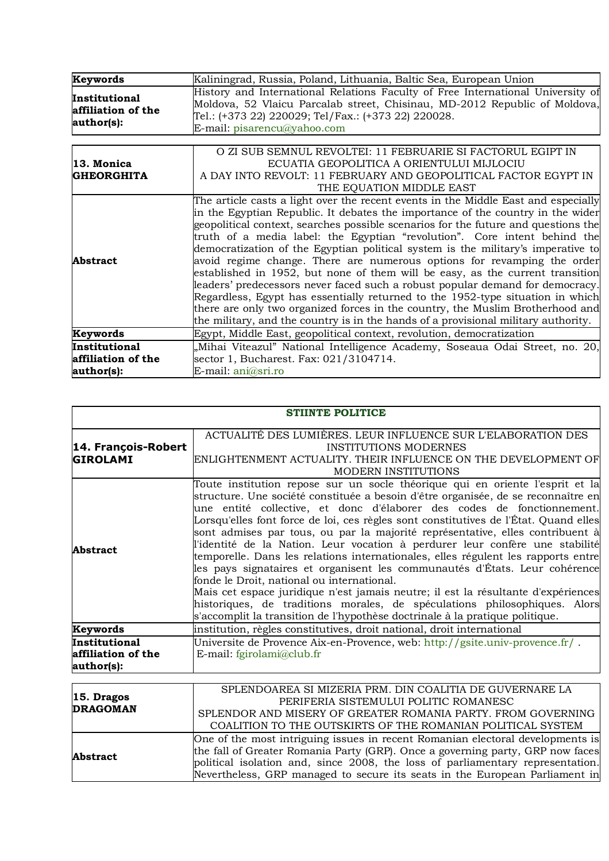| Keywords                                          | Kaliningrad, Russia, Poland, Lithuania, Baltic Sea, European Union                                                                                                                                                                                                                                                                                                                                                                                                                                                                                                                                                                                                                                                                                                                                                                                                                                                                  |
|---------------------------------------------------|-------------------------------------------------------------------------------------------------------------------------------------------------------------------------------------------------------------------------------------------------------------------------------------------------------------------------------------------------------------------------------------------------------------------------------------------------------------------------------------------------------------------------------------------------------------------------------------------------------------------------------------------------------------------------------------------------------------------------------------------------------------------------------------------------------------------------------------------------------------------------------------------------------------------------------------|
| Institutional<br>affiliation of the<br>author(s): | History and International Relations Faculty of Free International University of<br>Moldova, 52 Vlaicu Parcalab street, Chisinau, MD-2012 Republic of Moldova,<br>Tel.: (+373 22) 220029; Tel/Fax.: (+373 22) 220028.<br>E-mail: pisarencu@yahoo.com                                                                                                                                                                                                                                                                                                                                                                                                                                                                                                                                                                                                                                                                                 |
|                                                   |                                                                                                                                                                                                                                                                                                                                                                                                                                                                                                                                                                                                                                                                                                                                                                                                                                                                                                                                     |
| 13. Monica<br><b>GHEORGHITA</b>                   | O ZI SUB SEMNUL REVOLTEI: 11 FEBRUARIE SI FACTORUL EGIPT IN<br>ECUATIA GEOPOLITICA A ORIENTULUI MIJLOCIU<br>A DAY INTO REVOLT: 11 FEBRUARY AND GEOPOLITICAL FACTOR EGYPT IN<br>THE EQUATION MIDDLE EAST                                                                                                                                                                                                                                                                                                                                                                                                                                                                                                                                                                                                                                                                                                                             |
| <b>Abstract</b>                                   | The article casts a light over the recent events in the Middle East and especially<br>in the Egyptian Republic. It debates the importance of the country in the wider<br>geopolitical context, searches possible scenarios for the future and questions the<br>truth of a media label: the Egyptian "revolution". Core intent behind the<br>democratization of the Egyptian political system is the military's imperative to<br>avoid regime change. There are numerous options for revamping the order<br>established in 1952, but none of them will be easy, as the current transition<br>leaders' predecessors never faced such a robust popular demand for democracy.<br>Regardless, Egypt has essentially returned to the 1952-type situation in which<br>there are only two organized forces in the country, the Muslim Brotherhood and<br>the military, and the country is in the hands of a provisional military authority. |
| Keywords                                          | Egypt, Middle East, geopolitical context, revolution, democratization                                                                                                                                                                                                                                                                                                                                                                                                                                                                                                                                                                                                                                                                                                                                                                                                                                                               |
| Institutional                                     | "Mihai Viteazul" National Intelligence Academy, Soseaua Odai Street, no. 20,                                                                                                                                                                                                                                                                                                                                                                                                                                                                                                                                                                                                                                                                                                                                                                                                                                                        |
| affiliation of the                                | sector 1, Bucharest. Fax: 021/3104714.                                                                                                                                                                                                                                                                                                                                                                                                                                                                                                                                                                                                                                                                                                                                                                                                                                                                                              |
| author(s):                                        | E-mail: ani@sri.ro                                                                                                                                                                                                                                                                                                                                                                                                                                                                                                                                                                                                                                                                                                                                                                                                                                                                                                                  |

| <b>STIINTE POLITICE</b>                           |                                                                                                                                                                                                                                                                                                                                                                                                                                                                                                                                                                                                                                                                                                                                                                                                                                                                                                                                                                          |
|---------------------------------------------------|--------------------------------------------------------------------------------------------------------------------------------------------------------------------------------------------------------------------------------------------------------------------------------------------------------------------------------------------------------------------------------------------------------------------------------------------------------------------------------------------------------------------------------------------------------------------------------------------------------------------------------------------------------------------------------------------------------------------------------------------------------------------------------------------------------------------------------------------------------------------------------------------------------------------------------------------------------------------------|
| 14. François-Robert<br><b>GIROLAMI</b>            | ACTUALITÉ DES LUMIÈRES. LEUR INFLUENCE SUR L'ELABORATION DES<br><b>INSTITUTIONS MODERNES</b><br>ENLIGHTENMENT ACTUALITY. THEIR INFLUENCE ON THE DEVELOPMENT OF<br>MODERN INSTITUTIONS                                                                                                                                                                                                                                                                                                                                                                                                                                                                                                                                                                                                                                                                                                                                                                                    |
| <b>Abstract</b>                                   | Toute institution repose sur un socle théorique qui en oriente l'esprit et la<br>structure. Une société constituée a besoin d'être organisée, de se reconnaître en<br>une entité collective, et donc d'élaborer des codes de fonctionnement.<br>Lorsqu'elles font force de loi, ces règles sont constitutives de l'État. Quand elles<br>sont admises par tous, ou par la majorité représentative, elles contribuent à<br>l'identité de la Nation. Leur vocation à perdurer leur confère une stabilité<br>temporelle. Dans les relations internationales, elles régulent les rapports entre<br>les pays signataires et organisent les communautés d'États. Leur cohérence<br>fonde le Droit, national ou international.<br>Mais cet espace juridique n'est jamais neutre; il est la résultante d'expériences<br>historiques, de traditions morales, de spéculations philosophiques. Alors<br>s'accomplit la transition de l'hypothèse doctrinale à la pratique politique. |
| Keywords                                          | institution, règles constitutives, droit national, droit international                                                                                                                                                                                                                                                                                                                                                                                                                                                                                                                                                                                                                                                                                                                                                                                                                                                                                                   |
| Institutional<br>affiliation of the<br>author(s): | Universite de Provence Aix-en-Provence, web: http://gsite.univ-provence.fr/.<br>E-mail: fgirolami@club.fr                                                                                                                                                                                                                                                                                                                                                                                                                                                                                                                                                                                                                                                                                                                                                                                                                                                                |
| 15. Dragos<br><b>DRAGOMAN</b>                     | SPLENDOAREA SI MIZERIA PRM. DIN COALITIA DE GUVERNARE LA<br>PERIFERIA SISTEMULUI POLITIC ROMANESC<br>SPLENDOR AND MISERY OF GREATER ROMANIA PARTY FROM GOVERNING                                                                                                                                                                                                                                                                                                                                                                                                                                                                                                                                                                                                                                                                                                                                                                                                         |

| $ 15.$ Dragos<br><b>DRAGOMAN</b> |                                                                                |
|----------------------------------|--------------------------------------------------------------------------------|
|                                  | PERIFERIA SISTEMULUI POLITIC ROMANESC                                          |
|                                  | SPLENDOR AND MISERY OF GREATER ROMANIA PARTY. FROM GOVERNING                   |
|                                  | COALITION TO THE OUTSKIRTS OF THE ROMANIAN POLITICAL SYSTEM                    |
| <b>Abstract</b>                  | One of the most intriguing issues in recent Romanian electoral developments is |
|                                  | the fall of Greater Romania Party (GRP). Once a governing party, GRP now faces |
|                                  | political isolation and, since 2008, the loss of parliamentary representation. |
|                                  | Nevertheless, GRP managed to secure its seats in the European Parliament in    |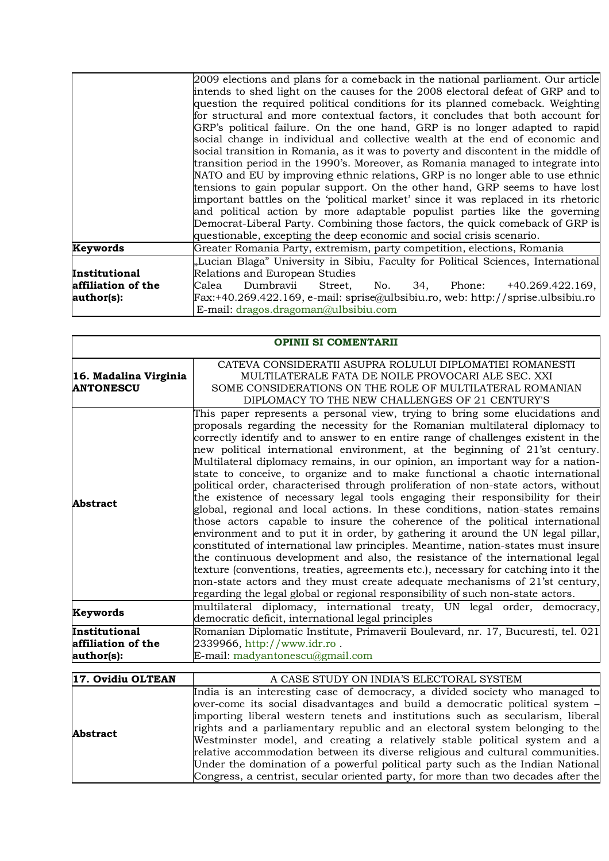|                    | 2009 elections and plans for a comeback in the national parliament. Our article    |
|--------------------|------------------------------------------------------------------------------------|
|                    | intends to shed light on the causes for the 2008 electoral defeat of GRP and to    |
|                    | question the required political conditions for its planned comeback. Weighting     |
|                    | for structural and more contextual factors, it concludes that both account for     |
|                    | GRP's political failure. On the one hand, GRP is no longer adapted to rapid        |
|                    | social change in individual and collective wealth at the end of economic and       |
|                    | social transition in Romania, as it was to poverty and discontent in the middle of |
|                    | transition period in the 1990's. Moreover, as Romania managed to integrate into    |
|                    | NATO and EU by improving ethnic relations, GRP is no longer able to use ethnic     |
|                    | tensions to gain popular support. On the other hand, GRP seems to have lost        |
|                    | important battles on the 'political market' since it was replaced in its rhetoric  |
|                    | and political action by more adaptable populist parties like the governing         |
|                    | Democrat-Liberal Party. Combining those factors, the quick comeback of GRP is      |
|                    | questionable, excepting the deep economic and social crisis scenario.              |
| Keywords           | Greater Romania Party, extremism, party competition, elections, Romania            |
|                    | "Lucian Blaga" University in Sibiu, Faculty for Political Sciences, International  |
| Institutional      | Relations and European Studies                                                     |
| affiliation of the | Dumbravii<br>No. 34, Phone: +40.269.422.169,<br>Calea<br>Street,                   |
| author(s):         | $Fx:+40.269.422.169, e-mail: sprise@ulbsibiu.ro, web: http://sprise.ulbsibiu.ro$   |
|                    | E-mail: dragos.dragoman@ulbsibiu.com                                               |

| <b>OPINII SI COMENTARII</b>                       |                                                                                                                                                                                                                                                                                                                                                                                                                                                                                                                                                                                                                                                                                                                                                                                                                                                                                                                                                                                                                                                                                                                                                                                                                                                                                                                                                                |
|---------------------------------------------------|----------------------------------------------------------------------------------------------------------------------------------------------------------------------------------------------------------------------------------------------------------------------------------------------------------------------------------------------------------------------------------------------------------------------------------------------------------------------------------------------------------------------------------------------------------------------------------------------------------------------------------------------------------------------------------------------------------------------------------------------------------------------------------------------------------------------------------------------------------------------------------------------------------------------------------------------------------------------------------------------------------------------------------------------------------------------------------------------------------------------------------------------------------------------------------------------------------------------------------------------------------------------------------------------------------------------------------------------------------------|
| 16. Madalina Virginia<br><b>ANTONESCU</b>         | CATEVA CONSIDERATII ASUPRA ROLULUI DIPLOMATIEI ROMANESTI<br>MULTILATERALE FATA DE NOILE PROVOCARI ALE SEC. XXI<br>SOME CONSIDERATIONS ON THE ROLE OF MULTILATERAL ROMANIAN<br>DIPLOMACY TO THE NEW CHALLENGES OF 21 CENTURY'S                                                                                                                                                                                                                                                                                                                                                                                                                                                                                                                                                                                                                                                                                                                                                                                                                                                                                                                                                                                                                                                                                                                                  |
| <b>Abstract</b>                                   | This paper represents a personal view, trying to bring some elucidations and<br>proposals regarding the necessity for the Romanian multilateral diplomacy to<br>correctly identify and to answer to en entire range of challenges existent in the<br>new political international environment, at the beginning of 21'st century.<br>Multilateral diplomacy remains, in our opinion, an important way for a nation-<br>state to conceive, to organize and to make functional a chaotic international<br>political order, characterised through proliferation of non-state actors, without<br>the existence of necessary legal tools engaging their responsibility for their<br>global, regional and local actions. In these conditions, nation-states remains<br>those actors capable to insure the coherence of the political international<br>environment and to put it in order, by gathering it around the UN legal pillar,<br>constituted of international law principles. Meantime, nation-states must insure<br>the continuous development and also, the resistance of the international legal<br>texture (conventions, treaties, agreements etc.), necessary for catching into it the<br>non-state actors and they must create adequate mechanisms of 21'st century,<br>regarding the legal global or regional responsibility of such non-state actors. |
| Keywords                                          | multilateral diplomacy, international treaty, UN legal order, democracy,<br>democratic deficit, international legal principles                                                                                                                                                                                                                                                                                                                                                                                                                                                                                                                                                                                                                                                                                                                                                                                                                                                                                                                                                                                                                                                                                                                                                                                                                                 |
| Institutional<br>affiliation of the<br>author(s): | Romanian Diplomatic Institute, Primaverii Boulevard, nr. 17, Bucuresti, tel. 021<br>2339966, http://www.idr.ro.<br>E-mail: madyantonescu@gmail.com                                                                                                                                                                                                                                                                                                                                                                                                                                                                                                                                                                                                                                                                                                                                                                                                                                                                                                                                                                                                                                                                                                                                                                                                             |

| 17. Ovidiu OLTEAN | A CASE STUDY ON INDIA'S ELECTORAL SYSTEM                                                                                                                                                                                                                                                                                                                                                                                                                                                                                                                                                                                                                                                   |
|-------------------|--------------------------------------------------------------------------------------------------------------------------------------------------------------------------------------------------------------------------------------------------------------------------------------------------------------------------------------------------------------------------------------------------------------------------------------------------------------------------------------------------------------------------------------------------------------------------------------------------------------------------------------------------------------------------------------------|
| <b>Abstract</b>   | India is an interesting case of democracy, a divided society who managed to<br>over-come its social disadvantages and build a democratic political system $\overline{\phantom{a}}$<br>importing liberal western tenets and institutions such as secularism, liberal<br>rights and a parliamentary republic and an electoral system belonging to the<br>Westminster model, and creating a relatively stable political system and a<br>relative accommodation between its diverse religious and cultural communities.<br>Under the domination of a powerful political party such as the Indian National<br>Congress, a centrist, secular oriented party, for more than two decades after the |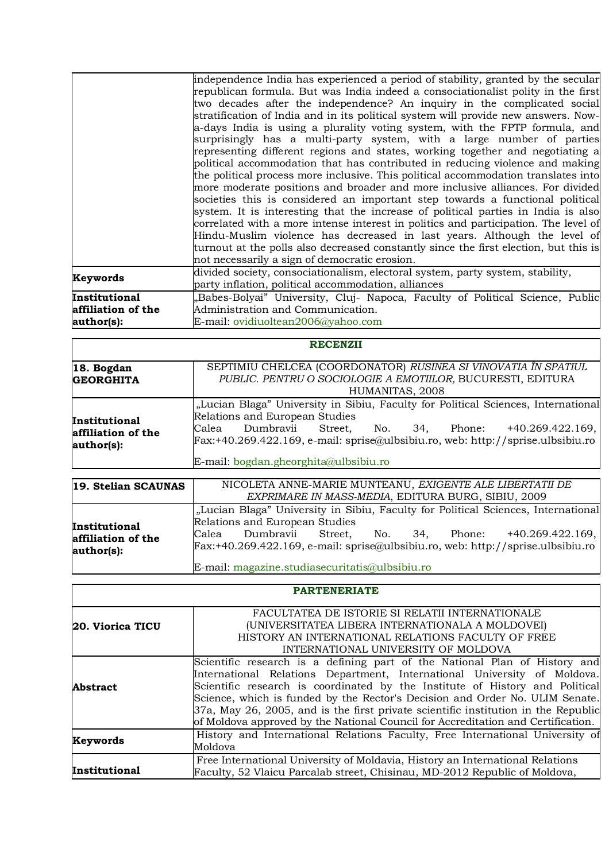| independence India has experienced a period of stability, granted by the secular     |
|--------------------------------------------------------------------------------------|
| republican formula. But was India indeed a consociationalist polity in the first     |
| two decades after the independence? An inquiry in the complicated social             |
| stratification of India and in its political system will provide new answers. Now-   |
| a-days India is using a plurality voting system, with the FPTP formula, and          |
| surprisingly has a multi-party system, with a large number of parties                |
| representing different regions and states, working together and negotiating a        |
| political accommodation that has contributed in reducing violence and making         |
| the political process more inclusive. This political accommodation translates into   |
| more moderate positions and broader and more inclusive alliances. For divided        |
| societies this is considered an important step towards a functional political        |
| system. It is interesting that the increase of political parties in India is also    |
| correlated with a more intense interest in politics and participation. The level of  |
| Hindu-Muslim violence has decreased in last years. Although the level of             |
| turnout at the polls also decreased constantly since the first election, but this is |
| not necessarily a sign of democratic erosion.                                        |
| divided society, consociationalism, electoral system, party system, stability,       |
| party inflation, political accommodation, alliances                                  |
| "Babes-Bolyai" University, Cluj- Napoca, Faculty of Political Science, Public        |
| Administration and Communication.                                                    |
| E-mail: ovidiuoltean2006@yahoo.com                                                   |
|                                                                                      |

|                                                   | <b>RECENZII</b>                                                                                                                                                                                                                                                                                               |
|---------------------------------------------------|---------------------------------------------------------------------------------------------------------------------------------------------------------------------------------------------------------------------------------------------------------------------------------------------------------------|
| 18. Bogdan<br><b>GEORGHITA</b>                    | SEPTIMIU CHELCEA (COORDONATOR) RUSINEA SI VINOVATIA ÎN SPATIUL<br>PUBLIC. PENTRU O SOCIOLOGIE A EMOTIILOR, BUCURESTI, EDITURA<br>HUMANITAS, 2008                                                                                                                                                              |
| Institutional<br>affiliation of the<br>author(s): | "Lucian Blaga" University in Sibiu, Faculty for Political Sciences, International<br>Relations and European Studies<br>Dumbravii Street, No. 34, Phone: +40.269.422.169,<br>Calea<br>Fax:+40.269.422.169, e-mail: sprise@ulbsibiu.ro, web: http://sprise.ulbsibiu.ro<br>E-mail: bogdan.gheorghita@ulbsibiu.ro |

| 19. Stelian SCAUNAS                               | NICOLETA ANNE-MARIE MUNTEANU, EXIGENTE ALE LIBERTATII DE                                                                                                                                                                                                                       |
|---------------------------------------------------|--------------------------------------------------------------------------------------------------------------------------------------------------------------------------------------------------------------------------------------------------------------------------------|
|                                                   | EXPRIMARE IN MASS-MEDIA, EDITURA BURG, SIBIU, 2009                                                                                                                                                                                                                             |
| Institutional<br>affiliation of the<br>author(s): | "Lucian Blaga" University in Sibiu, Faculty for Political Sciences, International<br>Relations and European Studies<br>Calea Dumbravii Street, No. 34, Phone: $+40.269.422.169$ ,<br>$\text{Fax:}+40.269.422.169$ , e-mail: sprise@ulbsibiu.ro, web: http://sprise.ulbsibiu.ro |
|                                                   | E-mail: magazine.studiasecuritatis@ulbsibiu.ro                                                                                                                                                                                                                                 |

|                  | FACULTATEA DE ISTORIE SI RELATII INTERNATIONALE                                    |
|------------------|------------------------------------------------------------------------------------|
| 20. Viorica TICU | (UNIVERSITATEA LIBERA INTERNATIONALA A MOLDOVEI)                                   |
|                  | HISTORY AN INTERNATIONAL RELATIONS FACULTY OF FREE                                 |
|                  | INTERNATIONAL UNIVERSITY OF MOLDOVA                                                |
|                  | Scientific research is a defining part of the National Plan of History and         |
|                  | International Relations Department, International University of Moldova.           |
| <b>Abstract</b>  | Scientific research is coordinated by the Institute of History and Political       |
|                  | Science, which is funded by the Rector's Decision and Order No. ULIM Senate.       |
|                  | 37a, May 26, 2005, and is the first private scientific institution in the Republic |
|                  | of Moldova approved by the National Council for Accreditation and Certification.   |
| Keywords         | History and International Relations Faculty, Free International University of      |
|                  | Moldova                                                                            |
|                  | Free International University of Moldavia, History an International Relations      |
| Institutional    | Faculty, 52 Vlaicu Parcalab street, Chisinau, MD-2012 Republic of Moldova,         |